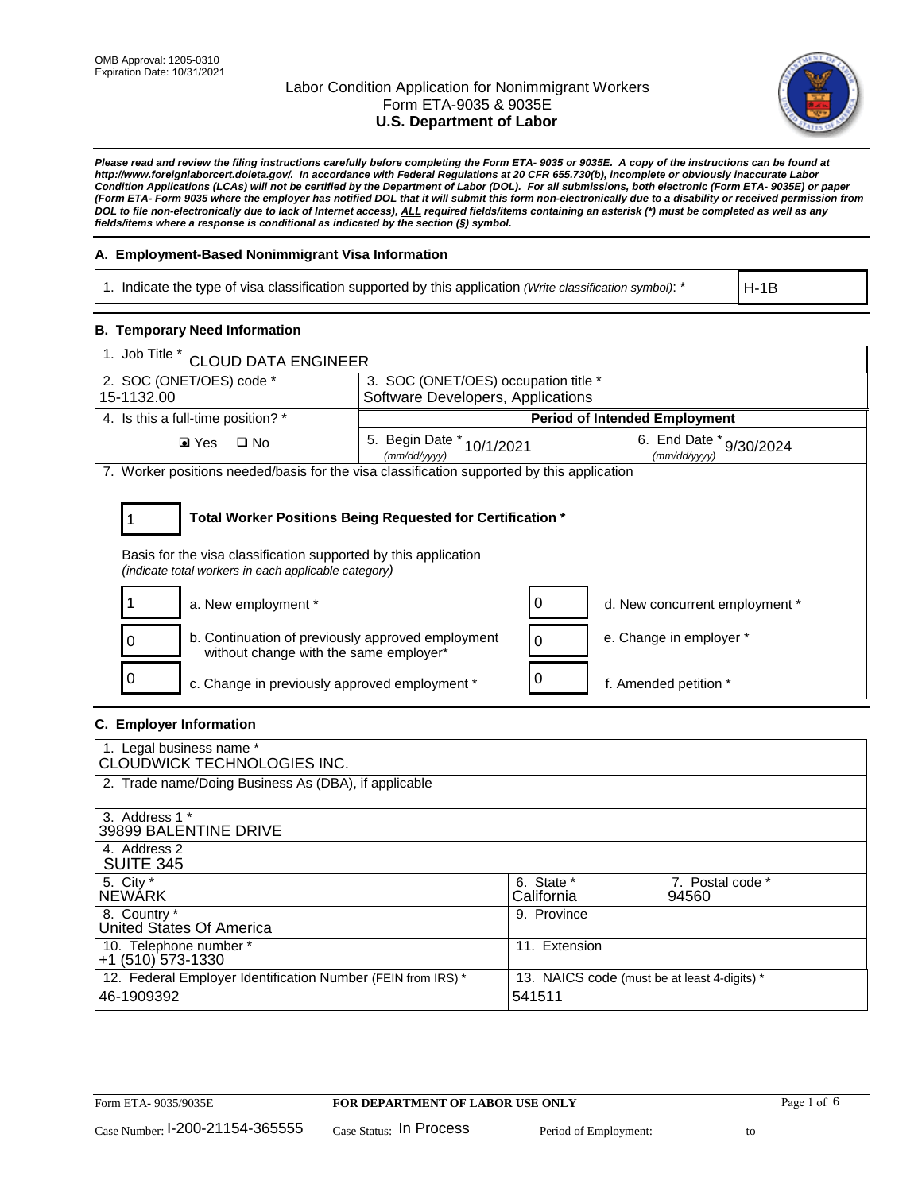

*Please read and review the filing instructions carefully before completing the Form ETA- 9035 or 9035E. A copy of the instructions can be found at [http://www.foreignlaborcert.doleta.gov/.](http://www.foreignlaborcert.doleta.gov/) In accordance with Federal Regulations at 20 CFR 655.730(b), incomplete or obviously inaccurate Labor Condition Applications (LCAs) will not be certified by the Department of Labor (DOL). For all submissions, both electronic (Form ETA- 9035E) or paper (Form ETA- Form 9035 where the employer has notified DOL that it will submit this form non-electronically due to a disability or received permission from DOL to file non-electronically due to lack of Internet access), ALL required fields/items containing an asterisk (\*) must be completed as well as any fields/items where a response is conditional as indicated by the section (§) symbol.* 

### **A. Employment-Based Nonimmigrant Visa Information**

1. Indicate the type of visa classification supported by this application *(Write classification symbol)*: \*

H-1B

### **B. Temporary Need Information**

| 1. Job Title *<br><b>CLOUD DATA ENGINEER</b>                                                                                                                                          |                                           |                                         |  |  |  |
|---------------------------------------------------------------------------------------------------------------------------------------------------------------------------------------|-------------------------------------------|-----------------------------------------|--|--|--|
| 2. SOC (ONET/OES) code *                                                                                                                                                              | 3. SOC (ONET/OES) occupation title *      |                                         |  |  |  |
| 15-1132.00                                                                                                                                                                            | Software Developers, Applications         |                                         |  |  |  |
| 4. Is this a full-time position? *                                                                                                                                                    |                                           | <b>Period of Intended Employment</b>    |  |  |  |
| $\blacksquare$ Yes<br>$\Box$ No                                                                                                                                                       | 5. Begin Date * 10/1/2021<br>(mm/dd/yyyy) | 6. End Date * 9/30/2024<br>(mm/dd/vvvv) |  |  |  |
| 7. Worker positions needed/basis for the visa classification supported by this application                                                                                            |                                           |                                         |  |  |  |
| Total Worker Positions Being Requested for Certification *<br>Basis for the visa classification supported by this application<br>(indicate total workers in each applicable category) |                                           |                                         |  |  |  |
| a. New employment *                                                                                                                                                                   | 0                                         | d. New concurrent employment *          |  |  |  |
| b. Continuation of previously approved employment<br>0<br>without change with the same employer*                                                                                      | 0                                         | e. Change in employer *                 |  |  |  |
| c. Change in previously approved employment *                                                                                                                                         | 0                                         | f. Amended petition *                   |  |  |  |

### **C. Employer Information**

| 1. Legal business name *<br>CLOUDWICK TECHNOLOGIES INC.                    |                                                        |                           |
|----------------------------------------------------------------------------|--------------------------------------------------------|---------------------------|
| 2. Trade name/Doing Business As (DBA), if applicable                       |                                                        |                           |
| 3. Address 1 *<br>39899 BALENTINE DRIVE                                    |                                                        |                           |
| 4. Address 2<br><b>SUITE 345</b>                                           |                                                        |                           |
| 5. City *<br><b>NEWARK</b>                                                 | 6. State *<br>California                               | 7. Postal code *<br>94560 |
| 8. Country *<br>United States Of America                                   | 9. Province                                            |                           |
| 10. Telephone number *<br>$+1$ (510) 573-1330                              | 11. Extension                                          |                           |
| 12. Federal Employer Identification Number (FEIN from IRS) *<br>46-1909392 | 13. NAICS code (must be at least 4-digits) *<br>541511 |                           |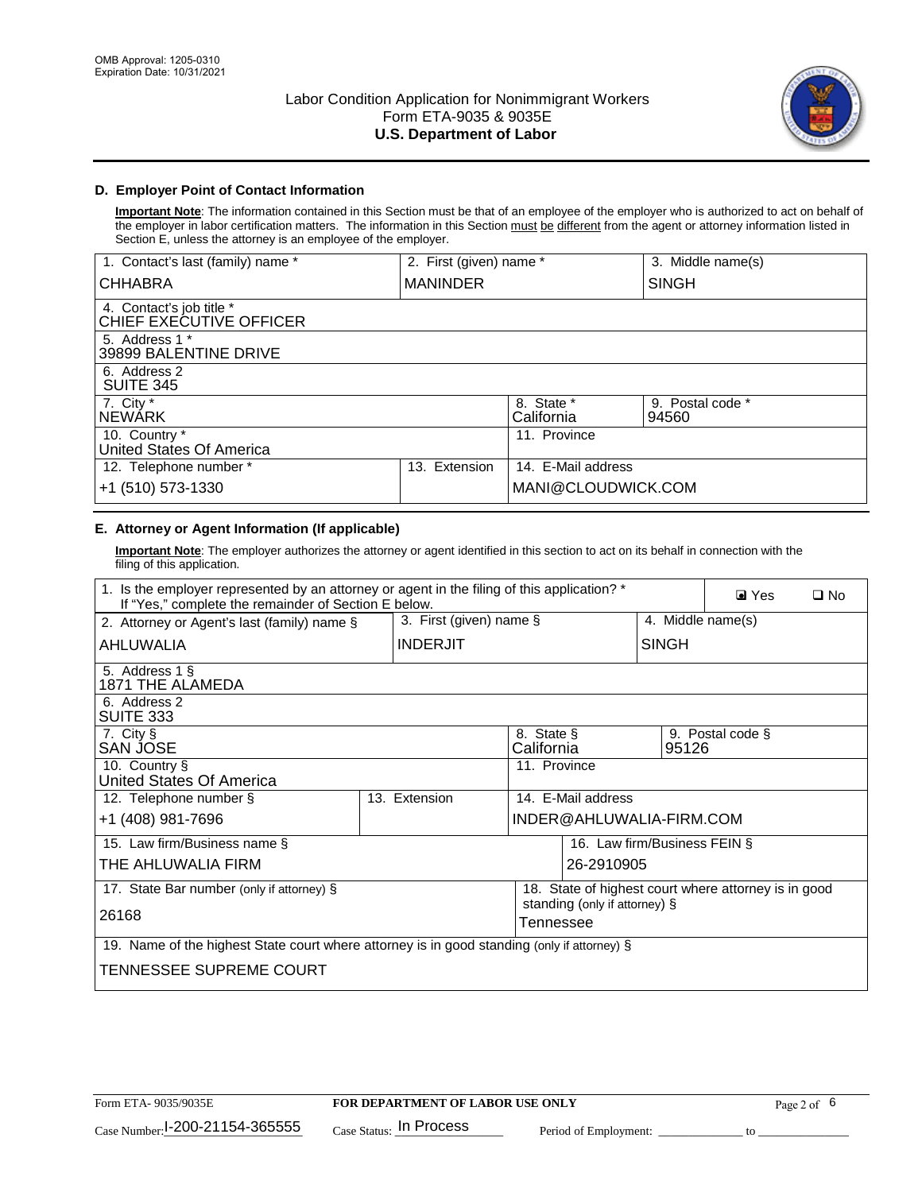

## **D. Employer Point of Contact Information**

**Important Note**: The information contained in this Section must be that of an employee of the employer who is authorized to act on behalf of the employer in labor certification matters. The information in this Section must be different from the agent or attorney information listed in Section E, unless the attorney is an employee of the employer.

| 1. Contact's last (family) name *                   | 2. First (given) name * |                          | 3. Middle name(s)         |
|-----------------------------------------------------|-------------------------|--------------------------|---------------------------|
| <b>CHHABRA</b>                                      | <b>MANINDER</b>         |                          | <b>SINGH</b>              |
| 4. Contact's job title *<br>CHIEF EXECUTIVE OFFICER |                         |                          |                           |
| 5. Address 1 *<br>39899 BALENTINE DRIVE             |                         |                          |                           |
| 6. Address 2<br><b>SUITE 345</b>                    |                         |                          |                           |
| 7. City *<br><b>NEWÁRK</b>                          |                         | 8. State *<br>California | 9. Postal code *<br>94560 |
| 10. Country *<br>United States Of America           |                         | 11. Province             |                           |
| 12. Telephone number *                              | Extension<br>13.        | 14. E-Mail address       |                           |
| +1 (510) 573-1330                                   |                         | MANI@CLOUDWICK.COM       |                           |

## **E. Attorney or Agent Information (If applicable)**

**Important Note**: The employer authorizes the attorney or agent identified in this section to act on its behalf in connection with the filing of this application.

| 1. Is the employer represented by an attorney or agent in the filing of this application? *<br>If "Yes," complete the remainder of Section E below. |                                            |                          |                                                      |                   | $\blacksquare$ Yes | $\Box$ No |
|-----------------------------------------------------------------------------------------------------------------------------------------------------|--------------------------------------------|--------------------------|------------------------------------------------------|-------------------|--------------------|-----------|
| 2. Attorney or Agent's last (family) name §                                                                                                         | 3. First (given) name §                    |                          |                                                      | 4. Middle name(s) |                    |           |
| AHLUWALIA                                                                                                                                           | <b>INDERJIT</b>                            |                          | <b>SINGH</b>                                         |                   |                    |           |
| 5. Address 1 §<br>1871 THE ALAMEDA                                                                                                                  |                                            |                          |                                                      |                   |                    |           |
| 6. Address 2<br><b>SUITE 333</b>                                                                                                                    |                                            |                          |                                                      |                   |                    |           |
| 7. City §<br>SAN JOSE                                                                                                                               |                                            | 8. State §<br>California |                                                      | 95126             | 9. Postal code §   |           |
| 10. Country §<br>United States Of America                                                                                                           |                                            | 11. Province             |                                                      |                   |                    |           |
| 12. Telephone number §                                                                                                                              | 13. Extension                              |                          | 14. E-Mail address                                   |                   |                    |           |
| +1 (408) 981-7696                                                                                                                                   |                                            |                          | INDER@AHLUWALIA-FIRM.COM                             |                   |                    |           |
| 15. Law firm/Business name §                                                                                                                        |                                            |                          | 16. Law firm/Business FEIN §                         |                   |                    |           |
| THE AHLUWALIA FIRM                                                                                                                                  |                                            |                          | 26-2910905                                           |                   |                    |           |
| 17. State Bar number (only if attorney) §                                                                                                           |                                            |                          | 18. State of highest court where attorney is in good |                   |                    |           |
| 26168                                                                                                                                               | standing (only if attorney) §<br>Tennessee |                          |                                                      |                   |                    |           |
| 19. Name of the highest State court where attorney is in good standing (only if attorney) §                                                         |                                            |                          |                                                      |                   |                    |           |
| TENNESSEE SUPREME COURT                                                                                                                             |                                            |                          |                                                      |                   |                    |           |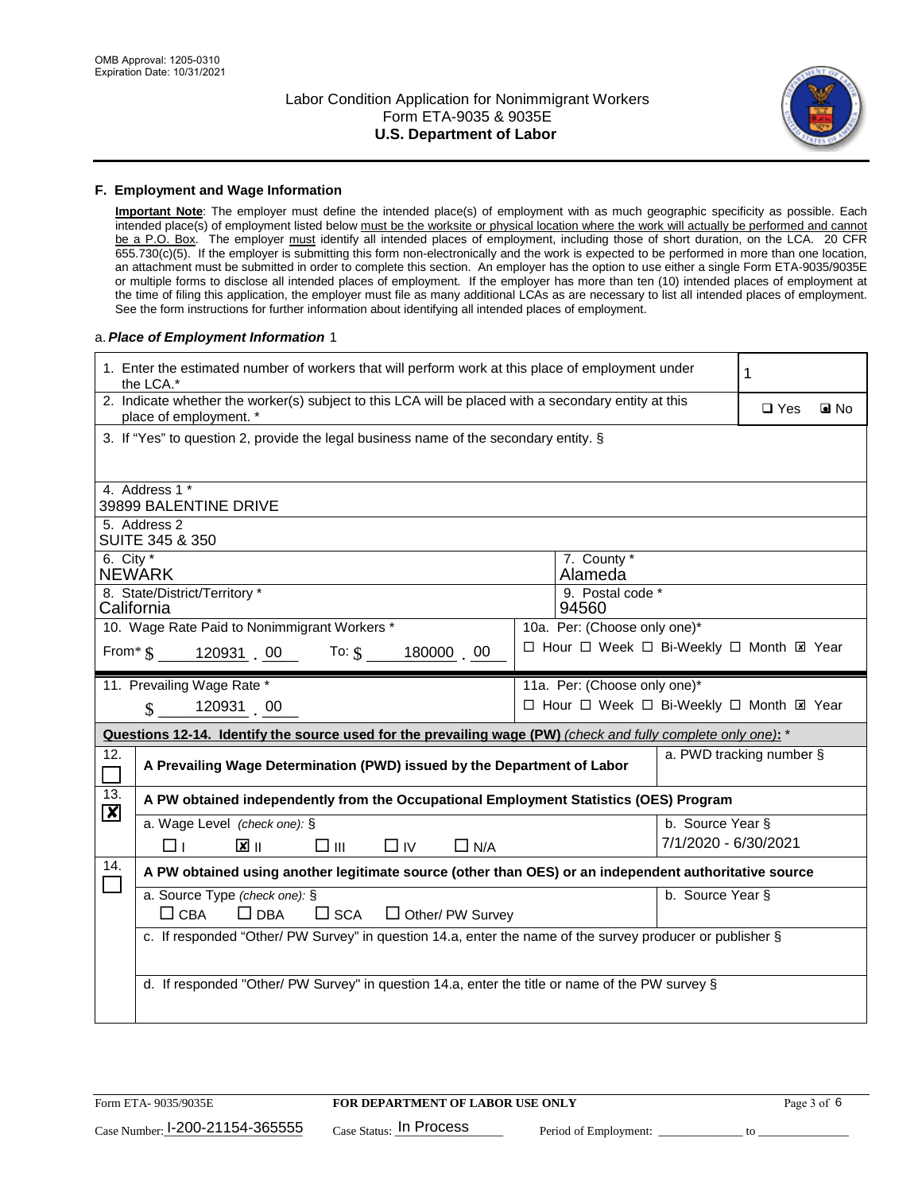

#### **F. Employment and Wage Information**

**Important Note**: The employer must define the intended place(s) of employment with as much geographic specificity as possible. Each intended place(s) of employment listed below must be the worksite or physical location where the work will actually be performed and cannot be a P.O. Box. The employer must identify all intended places of employment, including those of short duration, on the LCA. 20 CFR 655.730(c)(5). If the employer is submitting this form non-electronically and the work is expected to be performed in more than one location, an attachment must be submitted in order to complete this section. An employer has the option to use either a single Form ETA-9035/9035E or multiple forms to disclose all intended places of employment. If the employer has more than ten (10) intended places of employment at the time of filing this application, the employer must file as many additional LCAs as are necessary to list all intended places of employment. See the form instructions for further information about identifying all intended places of employment.

#### a.*Place of Employment Information* 1

|                           | 1. Enter the estimated number of workers that will perform work at this place of employment under<br>the LCA.*                 |  |                                                                          |                                          | 1          |                   |  |
|---------------------------|--------------------------------------------------------------------------------------------------------------------------------|--|--------------------------------------------------------------------------|------------------------------------------|------------|-------------------|--|
|                           | 2. Indicate whether the worker(s) subject to this LCA will be placed with a secondary entity at this<br>place of employment. * |  |                                                                          |                                          | $\Box$ Yes | $\blacksquare$ No |  |
|                           | 3. If "Yes" to question 2, provide the legal business name of the secondary entity. §                                          |  |                                                                          |                                          |            |                   |  |
|                           | 4. Address 1 *<br>39899 BALENTINE DRIVE                                                                                        |  |                                                                          |                                          |            |                   |  |
|                           | 5. Address 2<br>SUITE 345 & 350                                                                                                |  |                                                                          |                                          |            |                   |  |
| 6. City $*$               | <b>NEWARK</b>                                                                                                                  |  | 7. County *<br>Alameda                                                   |                                          |            |                   |  |
|                           | 8. State/District/Territory *<br>California                                                                                    |  | 9. Postal code *<br>94560                                                |                                          |            |                   |  |
|                           | 10. Wage Rate Paid to Nonimmigrant Workers *<br>From $\text{\$}$ 120931 00 To: $\text{\$}$<br>180000 00                        |  | 10a. Per: (Choose only one)*<br>□ Hour □ Week □ Bi-Weekly □ Month ⊠ Year |                                          |            |                   |  |
|                           | 11. Prevailing Wage Rate *                                                                                                     |  | 11a. Per: (Choose only one)*                                             |                                          |            |                   |  |
|                           | 120931 00<br>$\mathcal{S}$                                                                                                     |  | □ Hour □ Week □ Bi-Weekly □ Month El Year                                |                                          |            |                   |  |
|                           | Questions 12-14. Identify the source used for the prevailing wage (PW) (check and fully complete only one): *                  |  |                                                                          |                                          |            |                   |  |
| 12.<br>$\Box$             | A Prevailing Wage Determination (PWD) issued by the Department of Labor                                                        |  |                                                                          | a. PWD tracking number §                 |            |                   |  |
| 13.                       | A PW obtained independently from the Occupational Employment Statistics (OES) Program                                          |  |                                                                          |                                          |            |                   |  |
| $\boldsymbol{\mathsf{X}}$ | a. Wage Level (check one): §<br>$\mathbf{X}$ II<br>$\square$ $\square$<br>$\Box$ N/A<br>□⊥<br>$\Box$ IV                        |  |                                                                          | b. Source Year §<br>7/1/2020 - 6/30/2021 |            |                   |  |
| 14.                       | A PW obtained using another legitimate source (other than OES) or an independent authoritative source                          |  |                                                                          |                                          |            |                   |  |
|                           | a. Source Type (check one): §<br>b. Source Year §<br>$\Box$ CBA<br>$\Box$ DBA<br>$\Box$ Other/ PW Survey<br>$\square$ SCA      |  |                                                                          |                                          |            |                   |  |
|                           | c. If responded "Other/ PW Survey" in question 14.a, enter the name of the survey producer or publisher §                      |  |                                                                          |                                          |            |                   |  |
|                           | d. If responded "Other/ PW Survey" in question 14.a, enter the title or name of the PW survey §                                |  |                                                                          |                                          |            |                   |  |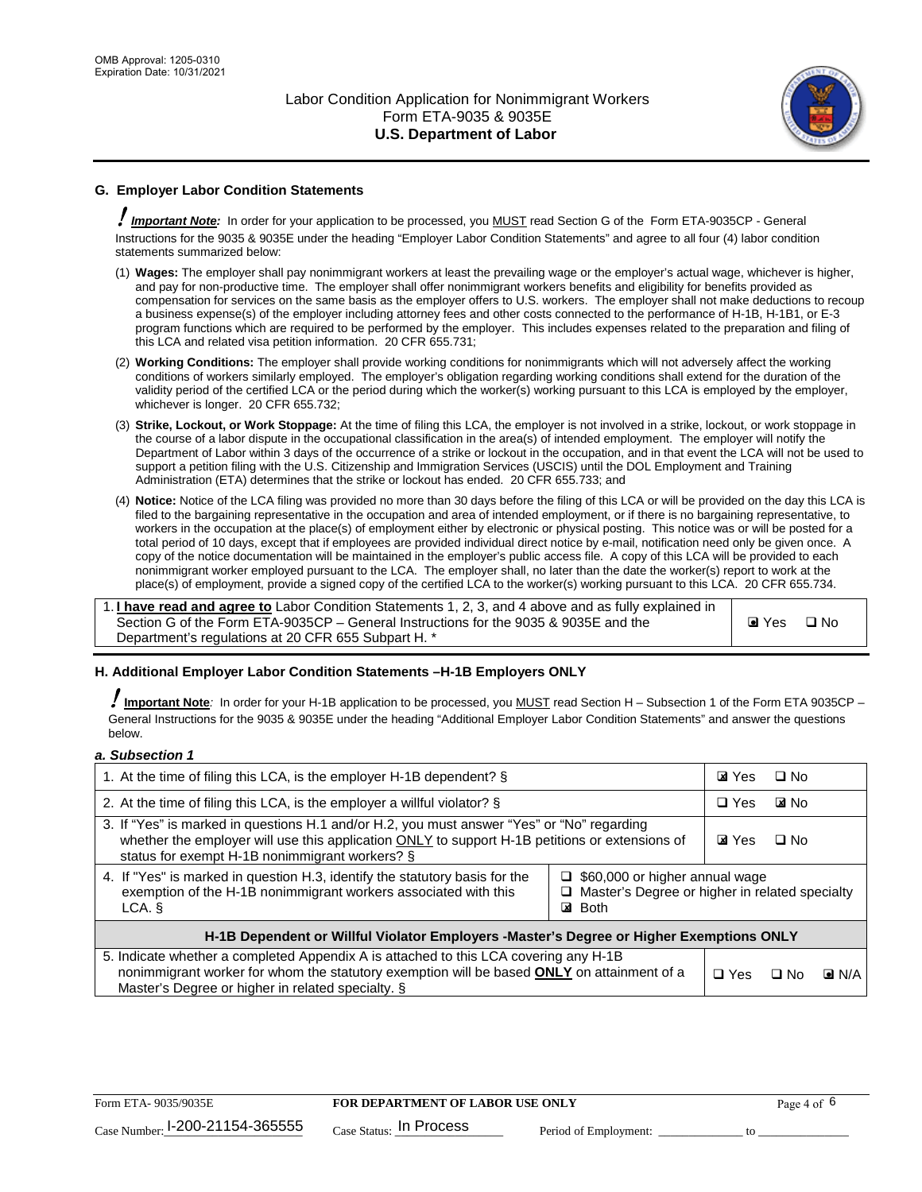

## **G. Employer Labor Condition Statements**

! *Important Note:* In order for your application to be processed, you MUST read Section G of the Form ETA-9035CP - General Instructions for the 9035 & 9035E under the heading "Employer Labor Condition Statements" and agree to all four (4) labor condition statements summarized below:

- (1) **Wages:** The employer shall pay nonimmigrant workers at least the prevailing wage or the employer's actual wage, whichever is higher, and pay for non-productive time. The employer shall offer nonimmigrant workers benefits and eligibility for benefits provided as compensation for services on the same basis as the employer offers to U.S. workers. The employer shall not make deductions to recoup a business expense(s) of the employer including attorney fees and other costs connected to the performance of H-1B, H-1B1, or E-3 program functions which are required to be performed by the employer. This includes expenses related to the preparation and filing of this LCA and related visa petition information. 20 CFR 655.731;
- (2) **Working Conditions:** The employer shall provide working conditions for nonimmigrants which will not adversely affect the working conditions of workers similarly employed. The employer's obligation regarding working conditions shall extend for the duration of the validity period of the certified LCA or the period during which the worker(s) working pursuant to this LCA is employed by the employer, whichever is longer. 20 CFR 655.732;
- (3) **Strike, Lockout, or Work Stoppage:** At the time of filing this LCA, the employer is not involved in a strike, lockout, or work stoppage in the course of a labor dispute in the occupational classification in the area(s) of intended employment. The employer will notify the Department of Labor within 3 days of the occurrence of a strike or lockout in the occupation, and in that event the LCA will not be used to support a petition filing with the U.S. Citizenship and Immigration Services (USCIS) until the DOL Employment and Training Administration (ETA) determines that the strike or lockout has ended. 20 CFR 655.733; and
- (4) **Notice:** Notice of the LCA filing was provided no more than 30 days before the filing of this LCA or will be provided on the day this LCA is filed to the bargaining representative in the occupation and area of intended employment, or if there is no bargaining representative, to workers in the occupation at the place(s) of employment either by electronic or physical posting. This notice was or will be posted for a total period of 10 days, except that if employees are provided individual direct notice by e-mail, notification need only be given once. A copy of the notice documentation will be maintained in the employer's public access file. A copy of this LCA will be provided to each nonimmigrant worker employed pursuant to the LCA. The employer shall, no later than the date the worker(s) report to work at the place(s) of employment, provide a signed copy of the certified LCA to the worker(s) working pursuant to this LCA. 20 CFR 655.734.

1. **I have read and agree to** Labor Condition Statements 1, 2, 3, and 4 above and as fully explained in Section G of the Form ETA-9035CP – General Instructions for the 9035 & 9035E and the Department's regulations at 20 CFR 655 Subpart H. \*

**O** Yes **D** No

### **H. Additional Employer Labor Condition Statements –H-1B Employers ONLY**

!**Important Note***:* In order for your H-1B application to be processed, you MUST read Section H – Subsection 1 of the Form ETA 9035CP – General Instructions for the 9035 & 9035E under the heading "Additional Employer Labor Condition Statements" and answer the questions below.

#### *a. Subsection 1*

| 1. At the time of filing this LCA, is the employer H-1B dependent? §                                                                                                                                                                                               |  |  | $\Box$ No |                    |
|--------------------------------------------------------------------------------------------------------------------------------------------------------------------------------------------------------------------------------------------------------------------|--|--|-----------|--------------------|
| 2. At the time of filing this LCA, is the employer a willful violator? $\S$                                                                                                                                                                                        |  |  | ⊠ No      |                    |
| 3. If "Yes" is marked in questions H.1 and/or H.2, you must answer "Yes" or "No" regarding<br>whether the employer will use this application ONLY to support H-1B petitions or extensions of<br>status for exempt H-1B nonimmigrant workers? §                     |  |  | $\Box$ No |                    |
| 4. If "Yes" is marked in question H.3, identify the statutory basis for the<br>$\Box$ \$60,000 or higher annual wage<br>exemption of the H-1B nonimmigrant workers associated with this<br>Master's Degree or higher in related specialty<br><b>⊠</b> Both<br>LCA. |  |  |           |                    |
| H-1B Dependent or Willful Violator Employers -Master's Degree or Higher Exemptions ONLY                                                                                                                                                                            |  |  |           |                    |
| 5. Indicate whether a completed Appendix A is attached to this LCA covering any H-1B<br>nonimmigrant worker for whom the statutory exemption will be based <b>ONLY</b> on attainment of a<br>Master's Degree or higher in related specialty. §                     |  |  | ⊡ No      | $\blacksquare$ N/A |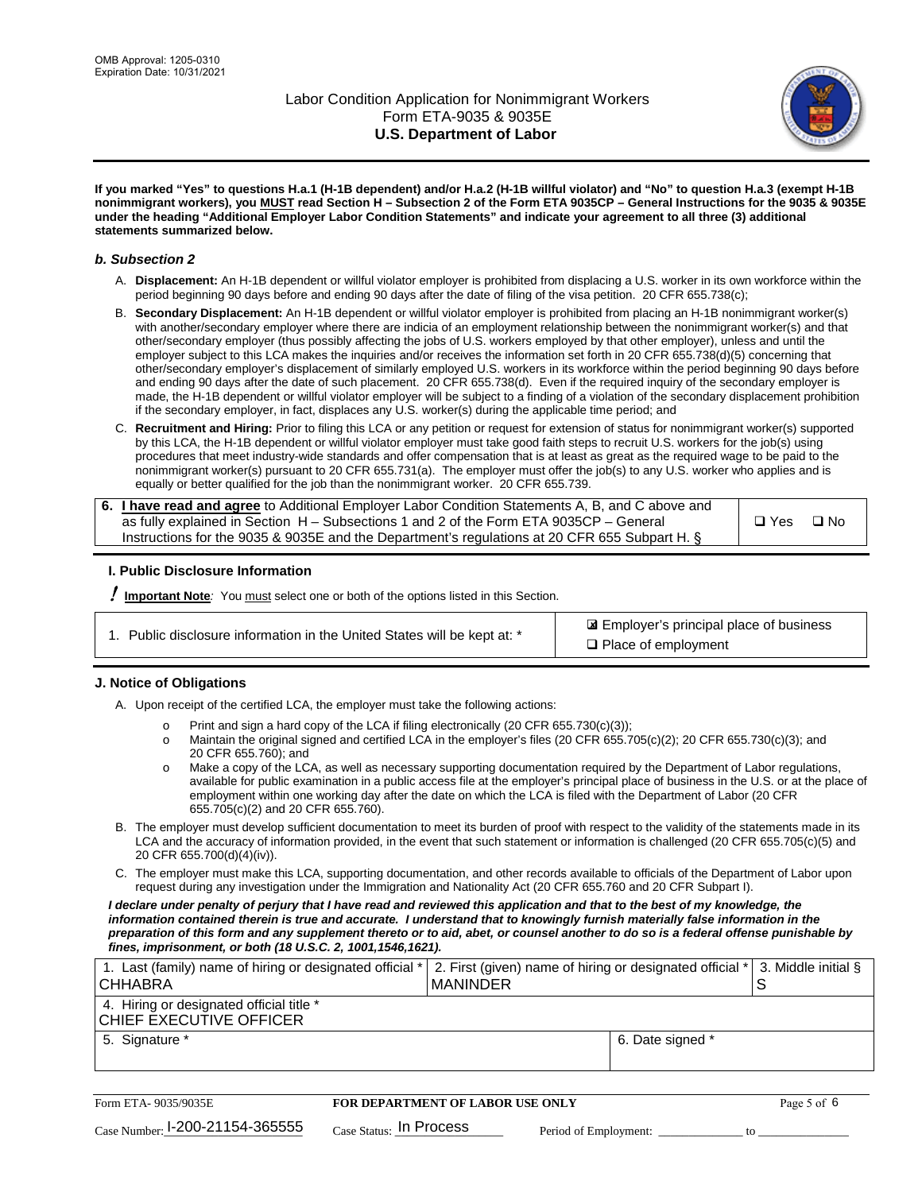

**If you marked "Yes" to questions H.a.1 (H-1B dependent) and/or H.a.2 (H-1B willful violator) and "No" to question H.a.3 (exempt H-1B nonimmigrant workers), you MUST read Section H – Subsection 2 of the Form ETA 9035CP – General Instructions for the 9035 & 9035E under the heading "Additional Employer Labor Condition Statements" and indicate your agreement to all three (3) additional statements summarized below.**

#### *b. Subsection 2*

- A. **Displacement:** An H-1B dependent or willful violator employer is prohibited from displacing a U.S. worker in its own workforce within the period beginning 90 days before and ending 90 days after the date of filing of the visa petition. 20 CFR 655.738(c);
- B. **Secondary Displacement:** An H-1B dependent or willful violator employer is prohibited from placing an H-1B nonimmigrant worker(s) with another/secondary employer where there are indicia of an employment relationship between the nonimmigrant worker(s) and that other/secondary employer (thus possibly affecting the jobs of U.S. workers employed by that other employer), unless and until the employer subject to this LCA makes the inquiries and/or receives the information set forth in 20 CFR 655.738(d)(5) concerning that other/secondary employer's displacement of similarly employed U.S. workers in its workforce within the period beginning 90 days before and ending 90 days after the date of such placement. 20 CFR 655.738(d). Even if the required inquiry of the secondary employer is made, the H-1B dependent or willful violator employer will be subject to a finding of a violation of the secondary displacement prohibition if the secondary employer, in fact, displaces any U.S. worker(s) during the applicable time period; and
- C. **Recruitment and Hiring:** Prior to filing this LCA or any petition or request for extension of status for nonimmigrant worker(s) supported by this LCA, the H-1B dependent or willful violator employer must take good faith steps to recruit U.S. workers for the job(s) using procedures that meet industry-wide standards and offer compensation that is at least as great as the required wage to be paid to the nonimmigrant worker(s) pursuant to 20 CFR 655.731(a). The employer must offer the job(s) to any U.S. worker who applies and is equally or better qualified for the job than the nonimmigrant worker. 20 CFR 655.739.

| 6. I have read and agree to Additional Employer Labor Condition Statements A, B, and C above and |       |      |
|--------------------------------------------------------------------------------------------------|-------|------|
| as fully explained in Section H – Subsections 1 and 2 of the Form ETA 9035CP – General           | □ Yes | ⊟ No |
| Instructions for the 9035 & 9035E and the Department's regulations at 20 CFR 655 Subpart H. §    |       |      |

### **I. Public Disclosure Information**

! **Important Note***:* You must select one or both of the options listed in this Section.

| 1. Public disclosure information in the United States will be kept at: * |  |
|--------------------------------------------------------------------------|--|
|                                                                          |  |

 Employer's principal place of business ✘ □ Place of employment

### **J. Notice of Obligations**

A. Upon receipt of the certified LCA, the employer must take the following actions:

- o Print and sign a hard copy of the LCA if filing electronically (20 CFR 655.730(c)(3));<br>
Maintain the original signed and certified LCA in the employer's files (20 CFR 655.7
- Maintain the original signed and certified LCA in the employer's files (20 CFR 655.705(c)(2); 20 CFR 655.730(c)(3); and 20 CFR 655.760); and
- o Make a copy of the LCA, as well as necessary supporting documentation required by the Department of Labor regulations, available for public examination in a public access file at the employer's principal place of business in the U.S. or at the place of employment within one working day after the date on which the LCA is filed with the Department of Labor (20 CFR 655.705(c)(2) and 20 CFR 655.760).
- B. The employer must develop sufficient documentation to meet its burden of proof with respect to the validity of the statements made in its LCA and the accuracy of information provided, in the event that such statement or information is challenged (20 CFR 655.705(c)(5) and 20 CFR 655.700(d)(4)(iv)).
- C. The employer must make this LCA, supporting documentation, and other records available to officials of the Department of Labor upon request during any investigation under the Immigration and Nationality Act (20 CFR 655.760 and 20 CFR Subpart I).

*I declare under penalty of perjury that I have read and reviewed this application and that to the best of my knowledge, the*  information contained therein is true and accurate. I understand that to knowingly furnish materially false information in the *preparation of this form and any supplement thereto or to aid, abet, or counsel another to do so is a federal offense punishable by fines, imprisonment, or both (18 U.S.C. 2, 1001,1546,1621).*

| 1. Last (family) name of hiring or designated official *<br>ICHHABRA | 2. First (given) name of hiring or designated official *   3. Middle initial §<br>I MANINDER |                  |  |
|----------------------------------------------------------------------|----------------------------------------------------------------------------------------------|------------------|--|
| 4. Hiring or designated official title *<br> CHIEF EXECUTIVE OFFICER |                                                                                              |                  |  |
| 5. Signature *                                                       |                                                                                              | 6. Date signed * |  |

| Form ETA-9035/9035E                         | <b>FOR DEPARTMENT OF LABOR USE ONLY</b> |                       |  |
|---------------------------------------------|-----------------------------------------|-----------------------|--|
| $_{\text{Case Number:}}$ I-200-21154-365555 | $_{\text{Case Status:}}$ In Process     | Period of Employment: |  |